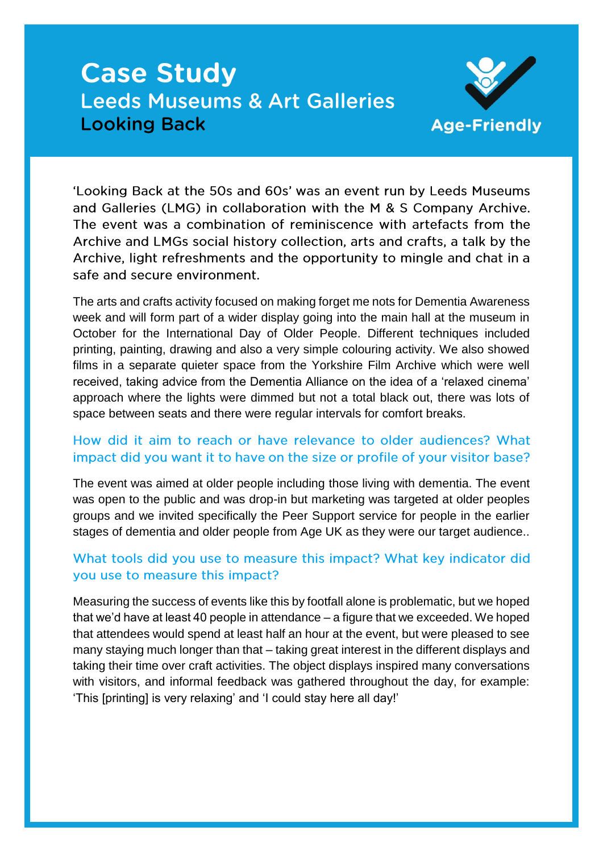# **Case Study Leeds Museums & Art Galleries Looking Back**



'Looking Back at the 50s and 60s' was an event run by Leeds Museums and Galleries (LMG) in collaboration with the M & S Company Archive. The event was a combination of reminiscence with artefacts from the Archive and LMGs social history collection, arts and crafts, a talk by the Archive, light refreshments and the opportunity to mingle and chat in a safe and secure environment.

The arts and crafts activity focused on making forget me nots for Dementia Awareness week and will form part of a wider display going into the main hall at the museum in October for the International Day of Older People. Different techniques included printing, painting, drawing and also a very simple colouring activity. We also showed films in a separate quieter space from the Yorkshire Film Archive which were well received, taking advice from the Dementia Alliance on the idea of a 'relaxed cinema' approach where the lights were dimmed but not a total black out, there was lots of space between seats and there were regular intervals for comfort breaks.

## How did it aim to reach or have relevance to older audiences? What impact did you want it to have on the size or profile of your visitor base?

The event was aimed at older people including those living with dementia. The event was open to the public and was drop-in but marketing was targeted at older peoples groups and we invited specifically the Peer Support service for people in the earlier stages of dementia and older people from Age UK as they were our target audience..

## What tools did you use to measure this impact? What key indicator did you use to measure this impact?

Measuring the success of events like this by footfall alone is problematic, but we hoped that we'd have at least 40 people in attendance – a figure that we exceeded. We hoped that attendees would spend at least half an hour at the event, but were pleased to see many staying much longer than that – taking great interest in the different displays and taking their time over craft activities. The object displays inspired many conversations with visitors, and informal feedback was gathered throughout the day, for example: 'This [printing] is very relaxing' and 'I could stay here all day!'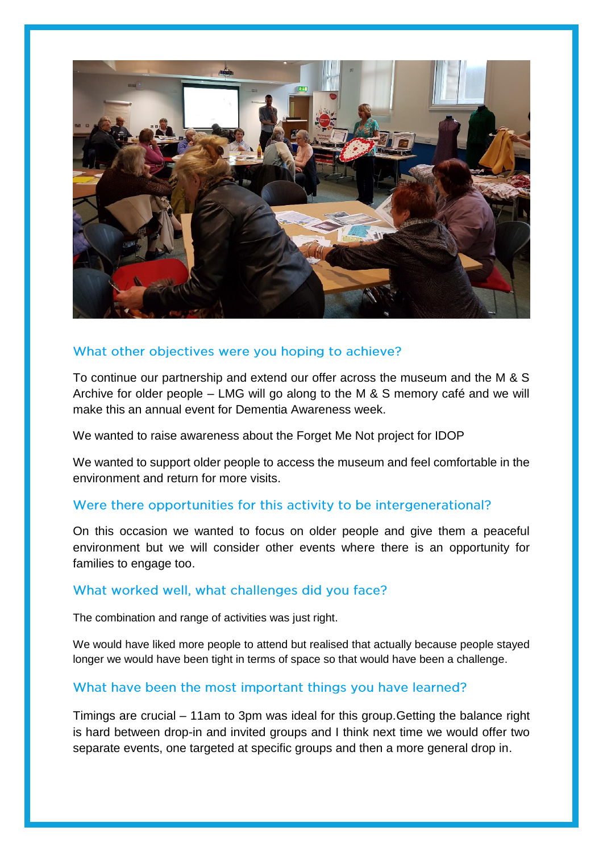

### What other objectives were you hoping to achieve?

To continue our partnership and extend our offer across the museum and the M & S Archive for older people – LMG will go along to the M & S memory café and we will make this an annual event for Dementia Awareness week.

We wanted to raise awareness about the Forget Me Not project for IDOP

We wanted to support older people to access the museum and feel comfortable in the environment and return for more visits.

#### Were there opportunities for this activity to be intergenerational?

On this occasion we wanted to focus on older people and give them a peaceful environment but we will consider other events where there is an opportunity for families to engage too.

#### What worked well, what challenges did you face?

The combination and range of activities was just right.

We would have liked more people to attend but realised that actually because people stayed longer we would have been tight in terms of space so that would have been a challenge.

#### What have been the most important things you have learned?

Timings are crucial – 11am to 3pm was ideal for this group.Getting the balance right is hard between drop-in and invited groups and I think next time we would offer two separate events, one targeted at specific groups and then a more general drop in.